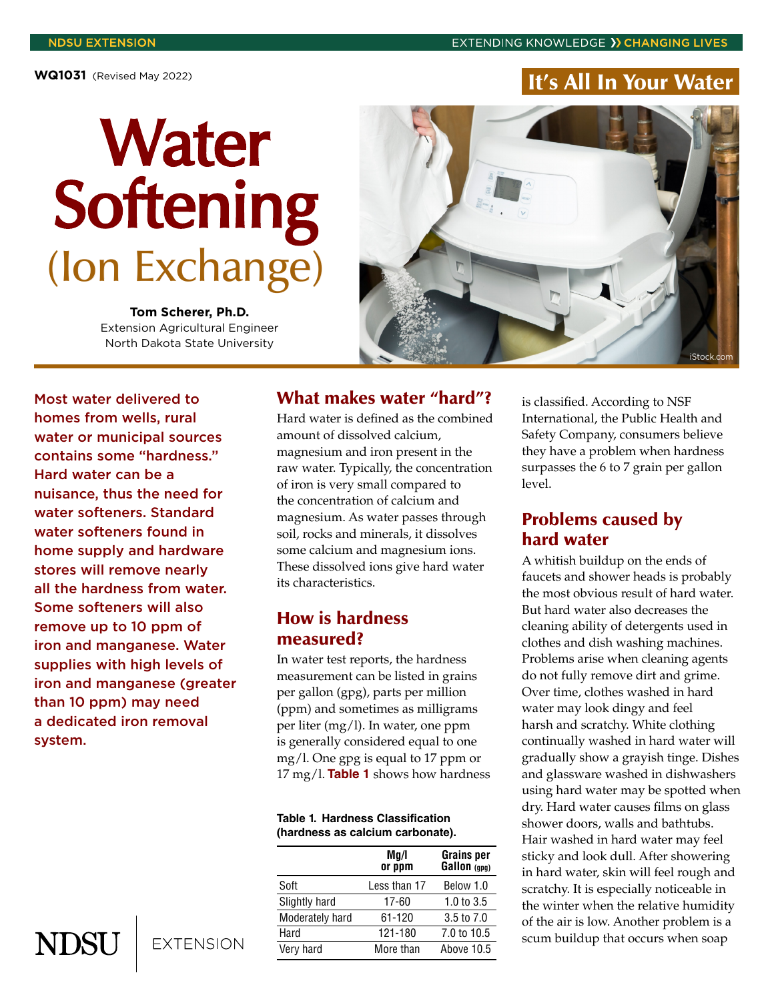# **Water** Softening (Ion Exchange)

**Tom Scherer, Ph.D.** Extension Agricultural Engineer North Dakota State University



Most water delivered to homes from wells, rural water or municipal sources contains some "hardness." Hard water can be a nuisance, thus the need for water softeners. Standard water softeners found in home supply and hardware stores will remove nearly all the hardness from water. Some softeners will also remove up to 10 ppm of iron and manganese. Water supplies with high levels of iron and manganese (greater than 10 ppm) may need a dedicated iron removal system.

#### What makes water "hard"?

Hard water is defined as the combined amount of dissolved calcium, magnesium and iron present in the raw water. Typically, the concentration of iron is very small compared to the concentration of calcium and magnesium. As water passes through soil, rocks and minerals, it dissolves some calcium and magnesium ions. These dissolved ions give hard water its characteristics.

#### How is hardness measured?

In water test reports, the hardness measurement can be listed in grains per gallon (gpg), parts per million (ppm) and sometimes as milligrams per liter (mg/l). In water, one ppm is generally considered equal to one mg/l. One gpg is equal to 17 ppm or 17 mg/l. **Table 1** shows how hardness

#### **Table 1. Hardness Classification (hardness as calcium carbonate).**

|                 | Mq/l<br>or ppm | <b>Grains per</b><br>Gallon (gpg) |
|-----------------|----------------|-----------------------------------|
| Soft            | Less than 17   | Below 1.0                         |
| Slightly hard   | 17-60          | 1.0 to $3.5$                      |
| Moderately hard | 61-120         | 3.5 to 7.0                        |
| Hard            | 121-180        | 7.0 to 10.5                       |
| Very hard       | More than      | Above 10.5                        |

is classified. According to NSF International, the Public Health and Safety Company, consumers believe they have a problem when hardness surpasses the 6 to 7 grain per gallon level.

## Problems caused by hard water

A whitish buildup on the ends of faucets and shower heads is probably the most obvious result of hard water. But hard water also decreases the cleaning ability of detergents used in clothes and dish washing machines. Problems arise when cleaning agents do not fully remove dirt and grime. Over time, clothes washed in hard water may look dingy and feel harsh and scratchy. White clothing continually washed in hard water will gradually show a grayish tinge. Dishes and glassware washed in dishwashers using hard water may be spotted when dry. Hard water causes films on glass shower doors, walls and bathtubs. Hair washed in hard water may feel sticky and look dull. After showering in hard water, skin will feel rough and scratchy. It is especially noticeable in the winter when the relative humidity of the air is low. Another problem is a scum buildup that occurs when soap

**NDSU** 

**EXTENSION**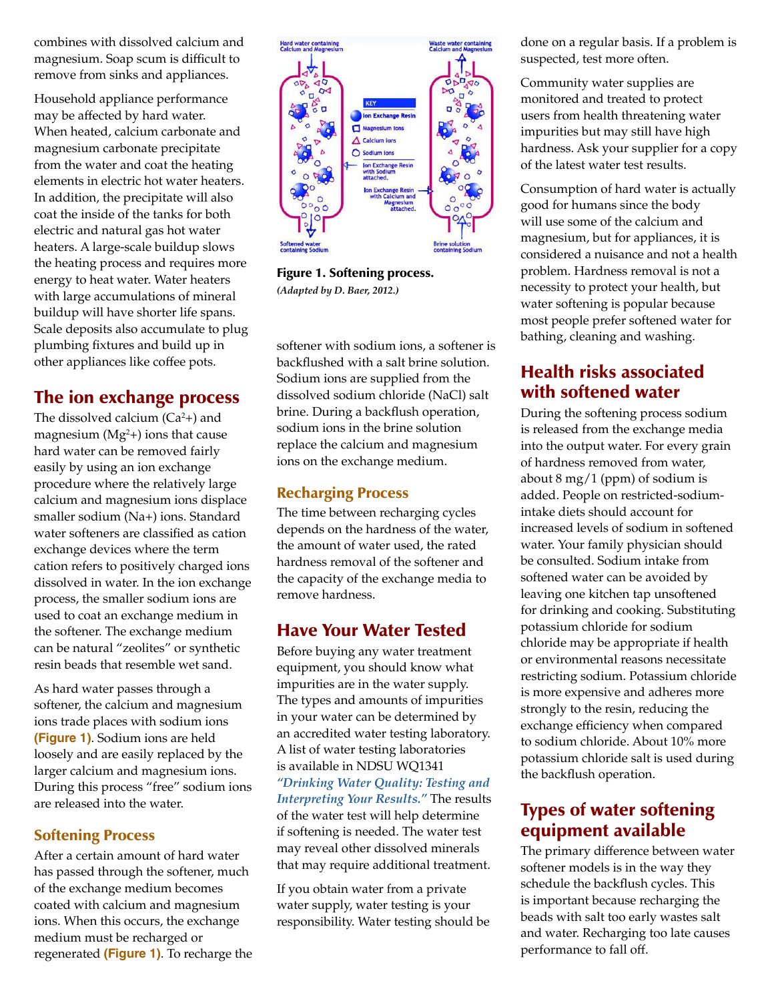combines with dissolved calcium and magnesium. Soap scum is difficult to remove from sinks and appliances.

Household appliance performance may be affected by hard water. When heated, calcium carbonate and magnesium carbonate precipitate from the water and coat the heating elements in electric hot water heaters. In addition, the precipitate will also coat the inside of the tanks for both electric and natural gas hot water heaters. A large-scale buildup slows the heating process and requires more energy to heat water. Water heaters with large accumulations of mineral buildup will have shorter life spans. Scale deposits also accumulate to plug plumbing fixtures and build up in other appliances like coffee pots.

# The ion exchange process

The dissolved calcium  $(Ca^2+)$  and magnesium  $(Mg<sup>2</sup>)$  ions that cause hard water can be removed fairly easily by using an ion exchange procedure where the relatively large calcium and magnesium ions displace smaller sodium (Na+) ions. Standard water softeners are classified as cation exchange devices where the term cation refers to positively charged ions dissolved in water. In the ion exchange process, the smaller sodium ions are used to coat an exchange medium in the softener. The exchange medium can be natural "zeolites" or synthetic resin beads that resemble wet sand.

As hard water passes through a softener, the calcium and magnesium ions trade places with sodium ions **(Figure 1)**. Sodium ions are held loosely and are easily replaced by the larger calcium and magnesium ions. During this process "free" sodium ions are released into the water.

#### Softening Process

After a certain amount of hard water has passed through the softener, much of the exchange medium becomes coated with calcium and magnesium ions. When this occurs, the exchange medium must be recharged or regenerated **(Figure 1)**. To recharge the



Figure 1. Softening process. *(Adapted by D. Baer, 2012.)*

softener with sodium ions, a softener is backflushed with a salt brine solution. Sodium ions are supplied from the dissolved sodium chloride (NaCl) salt brine. During a backflush operation, sodium ions in the brine solution replace the calcium and magnesium ions on the exchange medium.

#### Recharging Process

The time between recharging cycles depends on the hardness of the water, the amount of water used, the rated hardness removal of the softener and the capacity of the exchange media to remove hardness.

## Have Your Water Tested

Before buying any water treatment equipment, you should know what impurities are in the water supply. The types and amounts of impurities in your water can be determined by an accredited water testing laboratory. A list of water testing laboratories is available in NDSU WQ1341 *["Drinking Water Quality: Testing and](https://www.ndsu.edu/agriculture/extension/publications/drinking-water-quality-testing-and-interpreting-your-results)  [Interpreting Your Results."](https://www.ndsu.edu/agriculture/extension/publications/drinking-water-quality-testing-and-interpreting-your-results)* The results of the water test will help determine if softening is needed. The water test may reveal other dissolved minerals that may require additional treatment.

If you obtain water from a private water supply, water testing is your responsibility. Water testing should be done on a regular basis. If a problem is suspected, test more often.

Community water supplies are monitored and treated to protect users from health threatening water impurities but may still have high hardness. Ask your supplier for a copy of the latest water test results.

Consumption of hard water is actually good for humans since the body will use some of the calcium and magnesium, but for appliances, it is considered a nuisance and not a health problem. Hardness removal is not a necessity to protect your health, but water softening is popular because most people prefer softened water for bathing, cleaning and washing.

# Health risks associated with softened water

During the softening process sodium is released from the exchange media into the output water. For every grain of hardness removed from water, about 8 mg/1 (ppm) of sodium is added. People on restricted-sodiumintake diets should account for increased levels of sodium in softened water. Your family physician should be consulted. Sodium intake from softened water can be avoided by leaving one kitchen tap unsoftened for drinking and cooking. Substituting potassium chloride for sodium chloride may be appropriate if health or environmental reasons necessitate restricting sodium. Potassium chloride is more expensive and adheres more strongly to the resin, reducing the exchange efficiency when compared to sodium chloride. About 10% more potassium chloride salt is used during the backflush operation.

## Types of water softening equipment available

The primary difference between water softener models is in the way they schedule the backflush cycles. This is important because recharging the beads with salt too early wastes salt and water. Recharging too late causes performance to fall off.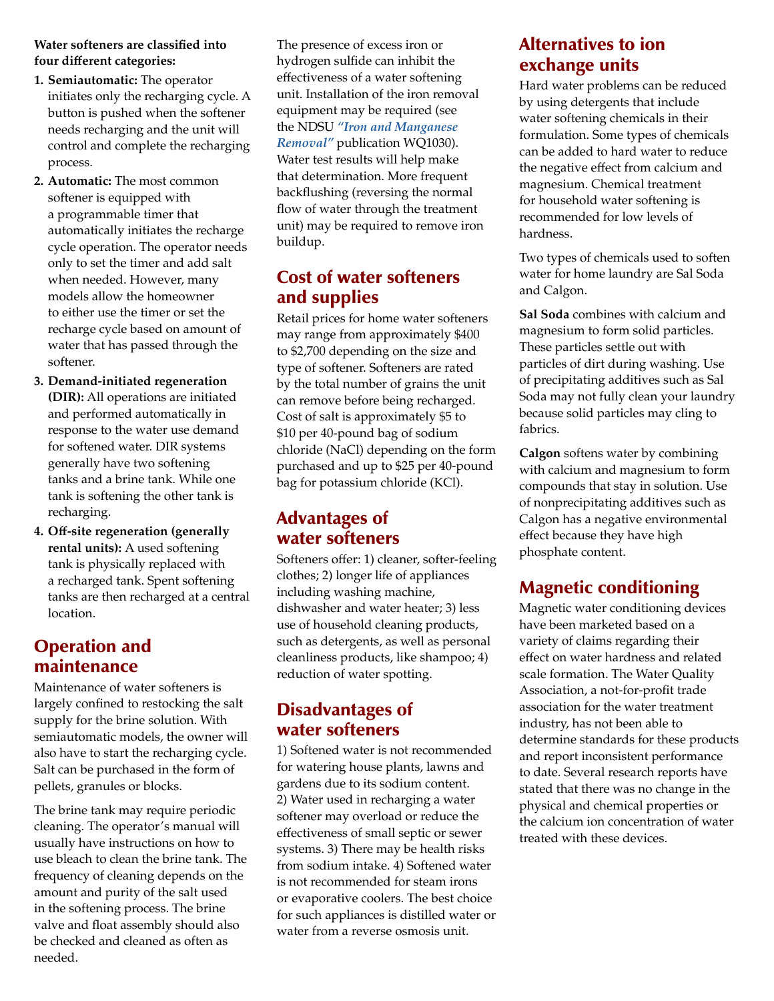#### **Water softeners are classified into four different categories:**

- **1. Semiautomatic:** The operator initiates only the recharging cycle. A button is pushed when the softener needs recharging and the unit will control and complete the recharging process.
- **2. Automatic:** The most common softener is equipped with a programmable timer that automatically initiates the recharge cycle operation. The operator needs only to set the timer and add salt when needed. However, many models allow the homeowner to either use the timer or set the recharge cycle based on amount of water that has passed through the softener.
- **3. Demand-initiated regeneration (DIR):** All operations are initiated and performed automatically in response to the water use demand for softened water. DIR systems generally have two softening tanks and a brine tank. While one tank is softening the other tank is recharging.
- **4. Off-site regeneration (generally rental units):** A used softening tank is physically replaced with a recharged tank. Spent softening tanks are then recharged at a central location.

# Operation and maintenance

Maintenance of water softeners is largely confined to restocking the salt supply for the brine solution. With semiautomatic models, the owner will also have to start the recharging cycle. Salt can be purchased in the form of pellets, granules or blocks.

The brine tank may require periodic cleaning. The operator's manual will usually have instructions on how to use bleach to clean the brine tank. The frequency of cleaning depends on the amount and purity of the salt used in the softening process. The brine valve and float assembly should also be checked and cleaned as often as needed.

The presence of excess iron or hydrogen sulfide can inhibit the effectiveness of a water softening unit. Installation of the iron removal equipment may be required (see the NDSU *["Iron and Manganese](https://www.ndsu.edu/agriculture/extension/publications/iron-and-manganese-removal)  [Removal"](https://www.ndsu.edu/agriculture/extension/publications/iron-and-manganese-removal)* publication WQ1030). Water test results will help make that determination. More frequent backflushing (reversing the normal flow of water through the treatment unit) may be required to remove iron buildup.

# Cost of water softeners and supplies

Retail prices for home water softeners may range from approximately \$400 to \$2,700 depending on the size and type of softener. Softeners are rated by the total number of grains the unit can remove before being recharged. Cost of salt is approximately \$5 to \$10 per 40-pound bag of sodium chloride (NaCl) depending on the form purchased and up to \$25 per 40-pound bag for potassium chloride (KCl).

# Advantages of water softeners

Softeners offer: 1) cleaner, softer-feeling clothes; 2) longer life of appliances including washing machine, dishwasher and water heater; 3) less use of household cleaning products, such as detergents, as well as personal cleanliness products, like shampoo; 4) reduction of water spotting.

## Disadvantages of water softeners

1) Softened water is not recommended for watering house plants, lawns and gardens due to its sodium content. 2) Water used in recharging a water softener may overload or reduce the effectiveness of small septic or sewer systems. 3) There may be health risks from sodium intake. 4) Softened water is not recommended for steam irons or evaporative coolers. The best choice for such appliances is distilled water or water from a reverse osmosis unit.

# Alternatives to ion exchange units

Hard water problems can be reduced by using detergents that include water softening chemicals in their formulation. Some types of chemicals can be added to hard water to reduce the negative effect from calcium and magnesium. Chemical treatment for household water softening is recommended for low levels of hardness.

Two types of chemicals used to soften water for home laundry are Sal Soda and Calgon.

**Sal Soda** combines with calcium and magnesium to form solid particles. These particles settle out with particles of dirt during washing. Use of precipitating additives such as Sal Soda may not fully clean your laundry because solid particles may cling to fabrics.

**Calgon** softens water by combining with calcium and magnesium to form compounds that stay in solution. Use of nonprecipitating additives such as Calgon has a negative environmental effect because they have high phosphate content.

# Magnetic conditioning

Magnetic water conditioning devices have been marketed based on a variety of claims regarding their effect on water hardness and related scale formation. The Water Quality Association, a not-for-profit trade association for the water treatment industry, has not been able to determine standards for these products and report inconsistent performance to date. Several research reports have stated that there was no change in the physical and chemical properties or the calcium ion concentration of water treated with these devices.